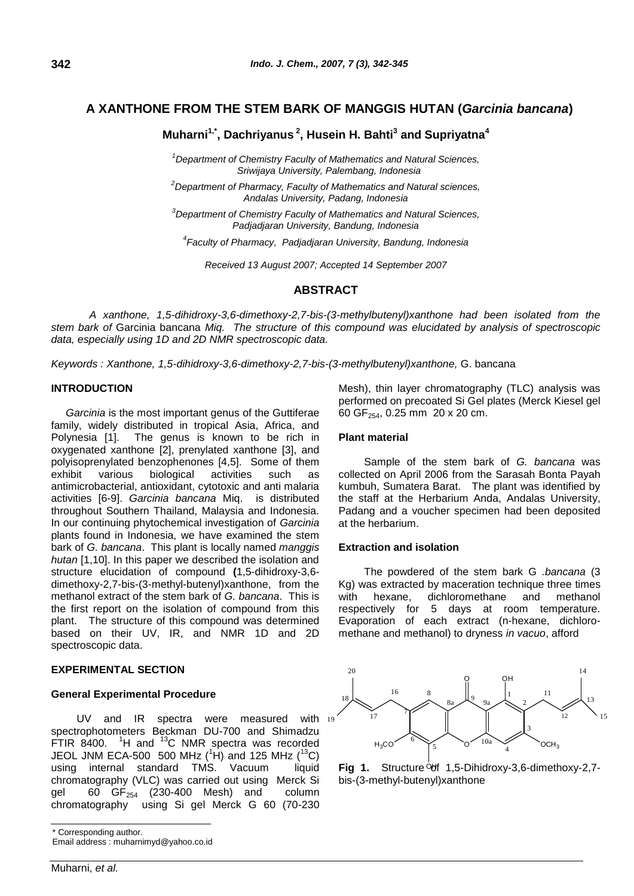# *1*   **A XANTHONE FROM THE STEM BARK OF MANGGIS HUTAN (***Garcinia bancana***)**

# **Muharni1,\*, Dachriyanus <sup>2</sup> , Husein H. Bahti<sup>3</sup> and Supriyatna<sup>4</sup>**

*<sup>1</sup>Department of Chemistry Faculty of Mathematics and Natural Sciences, Sriwijaya University, Palembang, Indonesia*

*<sup>2</sup>Department of Pharmacy, Faculty of Mathematics and Natural sciences, Andalas University, Padang, Indonesia*

*<sup>3</sup>Department of Chemistry Faculty of Mathematics and Natural Sciences, Padjadjaran University, Bandung, Indonesia*

*4 Faculty of Pharmacy, Padjadjaran University, Bandung, Indonesia*

*Received 13 August 2007; Accepted 14 September 2007*

## **ABSTRACT**

*A xanthone, 1,5-dihidroxy-3,6-dimethoxy-2,7-bis-(3-methylbutenyl)xanthone had been isolated from the stem bark of* Garcinia bancana *Miq. The structure of this compound was elucidated by analysis of spectroscopic data, especially using 1D and 2D NMR spectroscopic data.* 

*Keywords : Xanthone, 1,5-dihidroxy-3,6-dimethoxy-2,7-bis-(3-methylbutenyl)xanthone,* G. bancana

#### **INTRODUCTION**

 *Garcinia* is the most important genus of the Guttiferae family, widely distributed in tropical Asia, Africa, and Polynesia [1]. The genus is known to be rich in oxygenated xanthone [2], prenylated xanthone [3], and polyisoprenylated benzophenones [4,5]. Some of them exhibit various biological activities such as antimicrobacterial, antioxidant, cytotoxic and anti malaria activities [6-9]. *Garcinia bancana* Miq. is distributed throughout Southern Thailand, Malaysia and Indonesia. In our continuing phytochemical investigation of *Garcinia* plants found in Indonesia, we have examined the stem bark of *G. bancana*. This plant is locally named *manggis hutan* [1,10]. In this paper we described the isolation and structure elucidation of compound **(**1,5-dihidroxy-3,6 dimethoxy-2,7-bis-(3-methyl-butenyl)xanthone, from the methanol extract of the stem bark of *G. bancana*. This is the first report on the isolation of compound from this plant. The structure of this compound was determined based on their UV, IR, and NMR 1D and 2D spectroscopic data.

### **EXPERIMENTAL SECTION**

#### **General Experimental Procedure**

UV and IR spectra were measured with 19 spectrophotometers Beckman DU-700 and Shimadzu FTIR  $8400$ . <sup>1</sup>H and <sup>13</sup>C NMR spectra was recorded JEOL JNM ECA-500 500 MHz  $(^1H)$  and 125 MHz  $(^{13}C)$ using internal standard TMS. Vacuum liquid chromatography (VLC) was carried out using Merck Si gel  $60$  GF<sub>254</sub> (230-400 Mesh) and column chromatography using Si gel Merck G 60 (70-230

Mesh), thin layer chromatography (TLC) analysis was performed on precoated Si Gel plates (Merck Kiesel gel 60 GF254, 0.25 mm 20 x 20 cm.

#### **Plant material**

Sample of the stem bark of *G. bancana* was collected on April 2006 from the Sarasah Bonta Payah kumbuh, Sumatera Barat. The plant was identified by the staff at the Herbarium Anda, Andalas University, Padang and a voucher specimen had been deposited at the herbarium.

#### **Extraction and isolation**

The powdered of the stem bark G *.bancana* (3 Kg) was extracted by maceration technique three times with hexane, dichloromethane and methanol respectively for 5 days at room temperature. Evaporation of each extract (n-hexane, dichloromethane and methanol) to dryness *in vacuo*, afford





Corresponding author.

Email address : muharnimyd@yahoo.co.id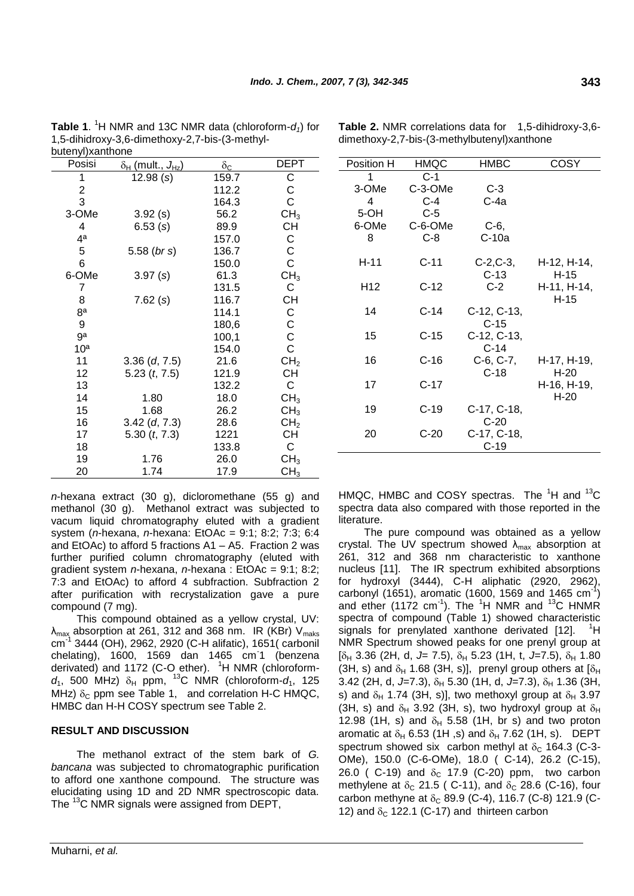| putenyi)xantnone        |                               |                     |                 |  |  |  |
|-------------------------|-------------------------------|---------------------|-----------------|--|--|--|
| Posisi                  | $\delta_H$ (mult., $J_{Hz}$ ) | $\delta_{\text{C}}$ | <b>DEPT</b>     |  |  |  |
| 1                       | 12.98(s)                      | 159.7               | С               |  |  |  |
| $\overline{\mathbf{c}}$ |                               | 112.2               | С               |  |  |  |
| 3                       |                               | 164.3               | C               |  |  |  |
| 3-OMe                   | 3.92(s)                       | 56.2                | CH <sub>3</sub> |  |  |  |
| 4                       | 6.53(s)                       | 89.9                | СH              |  |  |  |
| 4 <sup>a</sup>          |                               | 157.0               | С               |  |  |  |
| 5                       | $5.58$ ( <i>br s</i> )        | 136.7               | C               |  |  |  |
| 6                       |                               | 150.0               | C               |  |  |  |
| 6-OMe                   | 3.97(s)                       | 61.3                | CH <sub>3</sub> |  |  |  |
| 7                       |                               | 131.5               | С               |  |  |  |
| 8                       | 7.62(s)                       | 116.7               | <b>CH</b>       |  |  |  |
| 8a                      |                               | 114.1               | С               |  |  |  |
| 9                       |                               | 180,6               | $\rm_{C}^C$     |  |  |  |
| ga                      |                               | 100,1               |                 |  |  |  |
| 10 <sup>a</sup>         |                               | 154.0               |                 |  |  |  |
| 11                      | $3.36$ (d, $7.5$ )            | 21.6                | CH <sub>2</sub> |  |  |  |
| 12                      | $5.23$ (t, $7.5$ )            | 121.9               | CH              |  |  |  |
| 13                      |                               | 132.2               | C               |  |  |  |
| 14                      | 1.80                          | 18.0                | CH <sub>3</sub> |  |  |  |
| 15                      | 1.68                          | 26.2                | CH <sub>3</sub> |  |  |  |
| 16                      | $3.42$ (d, $7.3$ )            | 28.6                | CH <sub>2</sub> |  |  |  |
| 17                      | 5.30 $(t, 7.3)$               | 1221                | <b>CH</b>       |  |  |  |
| 18                      |                               | 133.8               | C               |  |  |  |
| 19                      | 1.76                          | 26.0                | CH <sub>3</sub> |  |  |  |
| 20                      | 1.74                          | 17.9                | CH <sub>3</sub> |  |  |  |

*1*  **Table 1**. <sup>1</sup>H NMR and 13C NMR data (chloroform-*d1*) for 1,5-dihidroxy-3,6-dimethoxy-2,7-bis-(3-methylbutenyl)xanthone

*n*-hexana extract (30 g), dicloromethane (55 g) and methanol (30 g). Methanol extract was subjected to vacum liquid chromatography eluted with a gradient system (*n*-hexana, *n*-hexana: EtOAc = 9:1; 8:2; 7:3; 6:4 and EtOAc) to afford 5 fractions A1 – A5. Fraction 2 was further purified column chromatography (eluted with gradient system *n*-hexana, *n*-hexana : EtOAc = 9:1; 8:2; 7:3 and EtOAc) to afford 4 subfraction. Subfraction 2 after purification with recrystalization gave a pure compound (7 mg).

This compound obtained as a yellow crystal, UV:  $\lambda_{\text{max}}$  absorption at 261, 312 and 368 nm. IR (KBr)  $V_{\text{maks}}$ cm<sup>-1</sup> 3444 (OH), 2962, 2920 (C-H alifatic), 1651( carbonil chelating), 1600, 1569 dan 1465 cm-1 (benzena derivated) and 1172 (C-O ether). <sup>1</sup>H NMR (chloroform $d_1$ , 500 MHz)  $\delta_H$  ppm, <sup>13</sup>C NMR (chloroform- $d_1$ , 125 MHz)  $\delta_c$  ppm see Table 1, and correlation H-C HMQC, HMBC dan H-H COSY spectrum see Table 2.

# **RESULT AND DISCUSSION**

The methanol extract of the stem bark of *G. bancana* was subjected to chromatographic purification to afford one xanthone compound. The structure was elucidating using 1D and 2D NMR spectroscopic data. The <sup>13</sup>C NMR signals were assigned from DEPT,

| Muharni, et al. |  |  |
|-----------------|--|--|

| Position H | HMQC    | <b>HMBC</b> | COSY                  |
|------------|---------|-------------|-----------------------|
| 1          | $C-1$   |             |                       |
| 3-OMe      | C-3-OMe | $C-3$       |                       |
| 4          | $C-4$   | $C-4a$      |                       |
| $5-OH$     | $C-5$   |             |                       |
| 6-OMe      | C-6-OMe | C-6,        |                       |
| 8          | $C-8$   | $C-10a$     |                       |
| H-11       | $C-11$  | $C-2, C-3,$ | H-12, H-14,           |
|            |         | $C-13$      | $H-15$                |
| H12        | $C-12$  | $C-2$       | H-11, H-14,<br>$H-15$ |
| 14         | $C-14$  | C-12, C-13, |                       |
|            |         | $C-15$      |                       |
| 15         | $C-15$  | C-12, C-13, |                       |
|            |         | $C-14$      |                       |
| 16         | C-16    | $C-6, C-7,$ | H-17, H-19,           |
|            |         | $C-18$      | $H-20$                |
| 17         | $C-17$  |             | H-16, H-19,<br>$H-20$ |
| 19         | $C-19$  | C-17, C-18, |                       |
|            |         | $C-20$      |                       |
| 20         | $C-20$  | C-17, C-18, |                       |
|            |         | C-19        |                       |

dimethoxy-2,7-bis-(3-methylbutenyl)xanthone

HMQC, HMBC and COSY spectras. The  ${}^{1}$ H and  ${}^{13}$ C spectra data also compared with those reported in the literature.

The pure compound was obtained as a yellow crystal. The UV spectrum showed  $\lambda_{\text{max}}$  absorption at 261, 312 and 368 nm characteristic to xanthone nucleus [11]. The IR spectrum exhibited absorptions for hydroxyl (3444), C-H aliphatic (2920, 2962), carbonyl (1651), aromatic (1600, 1569 and 1465 cm<sup>-1</sup>) and ether (1172 cm<sup>-1</sup>). The <sup>1</sup>H NMR and <sup>13</sup>C HNMR spectra of compound (Table 1) showed characteristic signals for prenylated xanthone derivated [12]. <sup>1</sup>H NMR Spectrum showed peaks for one prenyl group at  $[\delta_H$  3.36 (2H, d, J= 7.5),  $\delta_H$  5.23 (1H, t, J=7.5),  $\delta_H$  1.80 (3H, s) and  $\delta_H$  1.68 (3H, s)], prenyl group others at  $[\delta_H]$ 3.42 (2H, d, J=7.3),  $\delta_H$  5.30 (1H, d, J=7.3),  $\delta_H$  1.36 (3H, s) and  $\delta_H$  1.74 (3H, s)], two methoxyl group at  $\delta_H$  3.97 (3H, s) and  $\delta_H$  3.92 (3H, s), two hydroxyl group at  $\delta_H$ 12.98 (1H, s) and  $\delta_H$  5.58 (1H, br s) and two proton aromatic at  $\delta_H$  6.53 (1H ,s) and  $\delta_H$  7.62 (1H, s). DEPT spectrum showed six carbon methyl at  $\delta_c$  164.3 (C-3-OMe), 150.0 (C-6-OMe), 18.0 ( C-14), 26.2 (C-15), 26.0 ( C-19) and  $\delta_c$  17.9 (C-20) ppm, two carbon methylene at  $\delta_c$  21.5 ( C-11), and  $\delta_c$  28.6 (C-16), four carbon methyne at  $\delta_c$  89.9 (C-4), 116.7 (C-8) 121.9 (C-12) and  $\delta_c$  122.1 (C-17) and thirteen carbon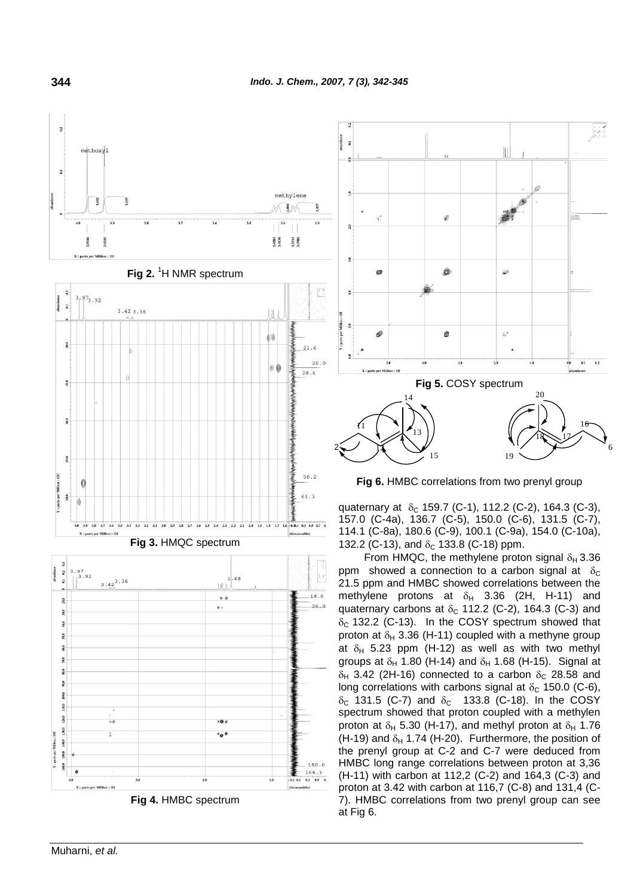

**Fig 4.** HMBC spectrum

 $000$ 

 $\circ$ o $\circ$ 

150.0

 $\frac{164.3}{0.3 \cdot 0.5 \cdot 0.}$ 



**Fig 6.** HMBC correlations from two prenyl group

quaternary at  $\delta_0$  159.7 (C-1), 112.2 (C-2), 164.3 (C-3), 157.0 (C-4a), 136.7 (C-5), 150.0 (C-6), 131.5 (C-7), 114.1 (C-8a), 180.6 (C-9), 100.1 (C-9a), 154.0 (C-10a), 132.2 (C-13), and  $\delta_c$  133.8 (C-18) ppm.

From HMQC, the methylene proton signal  $\delta_H$  3.36 ppm showed a connection to a carbon signal at  $\delta_{\rm C}$ 21.5 ppm and HMBC showed correlations between the methylene protons at  $\delta_H$  3.36 (2H, H-11) and quaternary carbons at  $\delta_c$  112.2 (C-2), 164.3 (C-3) and  $\delta_c$  132.2 (C-13). In the COSY spectrum showed that proton at  $\delta_H$  3.36 (H-11) coupled with a methyne group at  $\delta_H$  5.23 ppm (H-12) as well as with two methyl groups at  $\delta_H$  1.80 (H-14) and  $\delta_H$  1.68 (H-15). Signal at  $\delta_H$  3.42 (2H-16) connected to a carbon  $\delta_C$  28.58 and long correlations with carbons signal at  $\delta_c$  150.0 (C-6),  $\delta_c$  131.5 (C-7) and  $\delta_c$  133.8 (C-18). In the COSY spectrum showed that proton coupled with a methylen proton at  $\delta_H$  5.30 (H-17), and methyl proton at  $\delta_H$  1.76 (H-19) and  $\delta_H$  1.74 (H-20). Furthermore, the position of the prenyl group at C-2 and C-7 were deduced from HMBC long range correlations between proton at 3,36 (H-11) with carbon at 112,2 (C-2) and 164,3 (C-3) and proton at 3.42 with carbon at 116,7 (C-8) and 131,4 (C-7). HMBC correlations from two prenyl group can see at Fig 6.



per Million : 111

 $\frac{3}{2}$ 100.0 10.0 120.0

130.0

160.0

narts nor Million : 13C 140.0 50.0